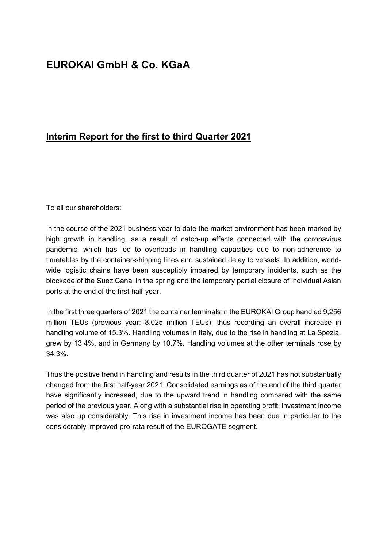# **EUROKAI GmbH & Co. KGaA**

# **Interim Report for the first to third Quarter 2021**

To all our shareholders:

In the course of the 2021 business year to date the market environment has been marked by high growth in handling, as a result of catch-up effects connected with the coronavirus pandemic, which has led to overloads in handling capacities due to non-adherence to timetables by the container-shipping lines and sustained delay to vessels. In addition, worldwide logistic chains have been susceptibly impaired by temporary incidents, such as the blockade of the Suez Canal in the spring and the temporary partial closure of individual Asian ports at the end of the first half-year.

In the first three quarters of 2021 the container terminals in the EUROKAI Group handled 9,256 million TEUs (previous year: 8,025 million TEUs), thus recording an overall increase in handling volume of 15.3%. Handling volumes in Italy, due to the rise in handling at La Spezia, grew by 13.4%, and in Germany by 10.7%. Handling volumes at the other terminals rose by 34.3%.

Thus the positive trend in handling and results in the third quarter of 2021 has not substantially changed from the first half-year 2021. Consolidated earnings as of the end of the third quarter have significantly increased, due to the upward trend in handling compared with the same period of the previous year. Along with a substantial rise in operating profit, investment income was also up considerably. This rise in investment income has been due in particular to the considerably improved pro-rata result of the EUROGATE segment.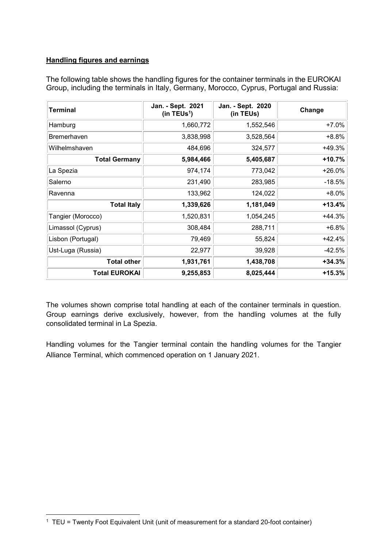## **Handling figures and earnings**

The following table shows the handling figures for the container terminals in the EUROKAI Group, including the terminals in Italy, Germany, Morocco, Cyprus, Portugal and Russia:

| Terminal             | Jan. - Sept. 2021<br>(in TEUs <sup>1</sup> ) | Jan. - Sept. 2020<br>(in TEUs) | Change   |
|----------------------|----------------------------------------------|--------------------------------|----------|
| Hamburg              | 1,660,772                                    | 1,552,546                      | $+7.0%$  |
| <b>Bremerhaven</b>   | 3,838,998                                    | 3,528,564                      | $+8.8%$  |
| Wilhelmshaven        | 484,696                                      | 324,577                        | +49.3%   |
| <b>Total Germany</b> | 5,984,466                                    | 5,405,687                      | $+10.7%$ |
| La Spezia            | 974,174                                      | 773,042                        | $+26.0%$ |
| Salerno              | 231,490                                      | 283,985                        | $-18.5%$ |
| Ravenna              | 133,962                                      | 124,022                        | $+8.0%$  |
| <b>Total Italy</b>   | 1,339,626                                    | 1,181,049                      | $+13.4%$ |
| Tangier (Morocco)    | 1,520,831                                    | 1,054,245                      | $+44.3%$ |
| Limassol (Cyprus)    | 308,484                                      | 288,711                        | $+6.8%$  |
| Lisbon (Portugal)    | 79,469                                       | 55,824                         | $+42.4%$ |
| Ust-Luga (Russia)    | 22,977                                       | 39,928                         | $-42.5%$ |
| <b>Total other</b>   | 1,931,761                                    | 1,438,708                      | $+34.3%$ |
| <b>Total EUROKAI</b> | 9,255,853                                    | 8,025,444                      | $+15.3%$ |

The volumes shown comprise total handling at each of the container terminals in question. Group earnings derive exclusively, however, from the handling volumes at the fully consolidated terminal in La Spezia.

Handling volumes for the Tangier terminal contain the handling volumes for the Tangier Alliance Terminal, which commenced operation on 1 January 2021.

 $\overline{a}$ 

<sup>1</sup> TEU = Twenty Foot Equivalent Unit (unit of measurement for a standard 20-foot container)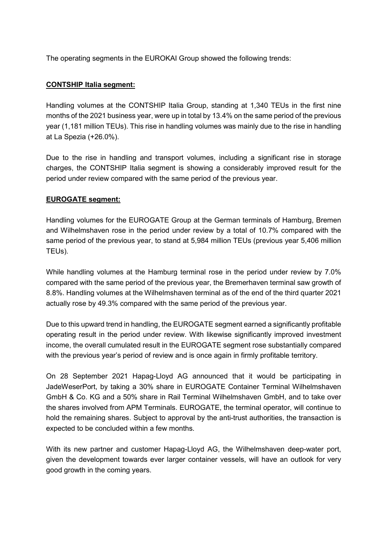The operating segments in the EUROKAI Group showed the following trends:

#### **CONTSHIP Italia segment:**

Handling volumes at the CONTSHIP Italia Group, standing at 1,340 TEUs in the first nine months of the 2021 business year, were up in total by 13.4% on the same period of the previous year (1,181 million TEUs). This rise in handling volumes was mainly due to the rise in handling at La Spezia (+26.0%).

Due to the rise in handling and transport volumes, including a significant rise in storage charges, the CONTSHIP Italia segment is showing a considerably improved result for the period under review compared with the same period of the previous year.

#### **EUROGATE segment:**

Handling volumes for the EUROGATE Group at the German terminals of Hamburg, Bremen and Wilhelmshaven rose in the period under review by a total of 10.7% compared with the same period of the previous year, to stand at 5,984 million TEUs (previous year 5,406 million TEUs).

While handling volumes at the Hamburg terminal rose in the period under review by 7.0% compared with the same period of the previous year, the Bremerhaven terminal saw growth of 8.8%. Handling volumes at the Wilhelmshaven terminal as of the end of the third quarter 2021 actually rose by 49.3% compared with the same period of the previous year.

Due to this upward trend in handling, the EUROGATE segment earned a significantly profitable operating result in the period under review. With likewise significantly improved investment income, the overall cumulated result in the EUROGATE segment rose substantially compared with the previous year's period of review and is once again in firmly profitable territory.

On 28 September 2021 Hapag-Lloyd AG announced that it would be participating in JadeWeserPort, by taking a 30% share in EUROGATE Container Terminal Wilhelmshaven GmbH & Co. KG and a 50% share in Rail Terminal Wilhelmshaven GmbH, and to take over the shares involved from APM Terminals. EUROGATE, the terminal operator, will continue to hold the remaining shares. Subject to approval by the anti-trust authorities, the transaction is expected to be concluded within a few months.

With its new partner and customer Hapag-Lloyd AG, the Wilhelmshaven deep-water port, given the development towards ever larger container vessels, will have an outlook for very good growth in the coming years.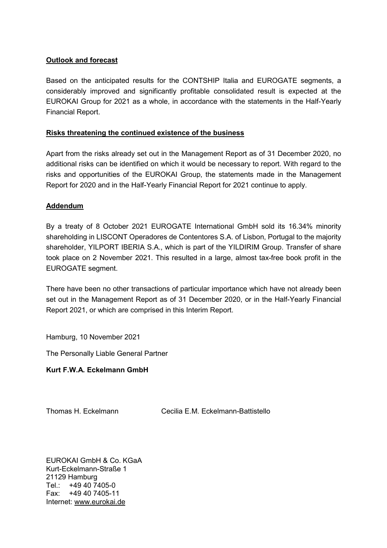# **Outlook and forecast**

Based on the anticipated results for the CONTSHIP Italia and EUROGATE segments, a considerably improved and significantly profitable consolidated result is expected at the EUROKAI Group for 2021 as a whole, in accordance with the statements in the Half-Yearly Financial Report.

#### **Risks threatening the continued existence of the business**

Apart from the risks already set out in the Management Report as of 31 December 2020, no additional risks can be identified on which it would be necessary to report. With regard to the risks and opportunities of the EUROKAI Group, the statements made in the Management Report for 2020 and in the Half-Yearly Financial Report for 2021 continue to apply.

#### **Addendum**

By a treaty of 8 October 2021 EUROGATE International GmbH sold its 16.34% minority shareholding in LISCONT Operadores de Contentores S.A. of Lisbon, Portugal to the majority shareholder, YILPORT IBERIA S.A., which is part of the YILDIRIM Group. Transfer of share took place on 2 November 2021. This resulted in a large, almost tax-free book profit in the EUROGATE segment.

There have been no other transactions of particular importance which have not already been set out in the Management Report as of 31 December 2020, or in the Half-Yearly Financial Report 2021, or which are comprised in this Interim Report.

Hamburg, 10 November 2021

The Personally Liable General Partner

# **Kurt F.W.A. Eckelmann GmbH**

Thomas H. Eckelmann Cecilia E.M. Eckelmann-Battistello

EUROKAI GmbH & Co. KGaA Kurt-Eckelmann-Straße 1 21129 Hamburg Tel.: +49 40 7405-0 Fax: +49 40 7405-11 Internet: www.eurokai.de